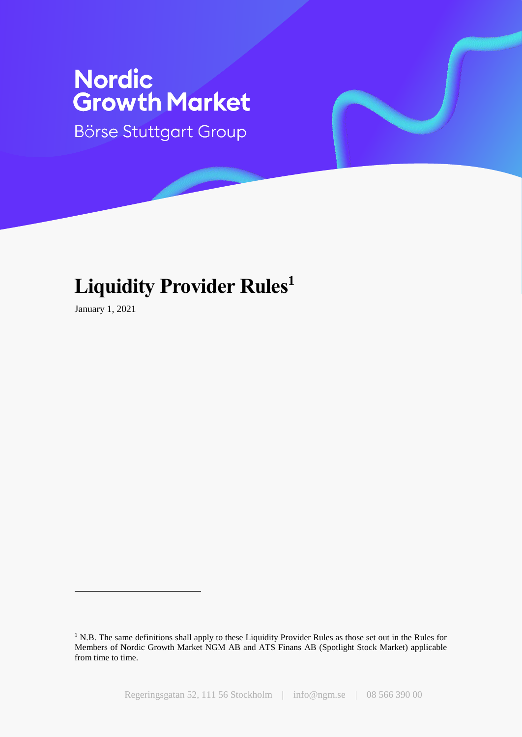# **Nordic<br>Growth Market**

Börse Stuttgart Group

## **Liquidity Provider Rules<sup>1</sup>**

January 1, 2021

<u>.</u>

<sup>&</sup>lt;sup>1</sup> N.B. The same definitions shall apply to these Liquidity Provider Rules as those set out in the Rules for Members of Nordic Growth Market NGM AB and ATS Finans AB (Spotlight Stock Market) applicable from time to time.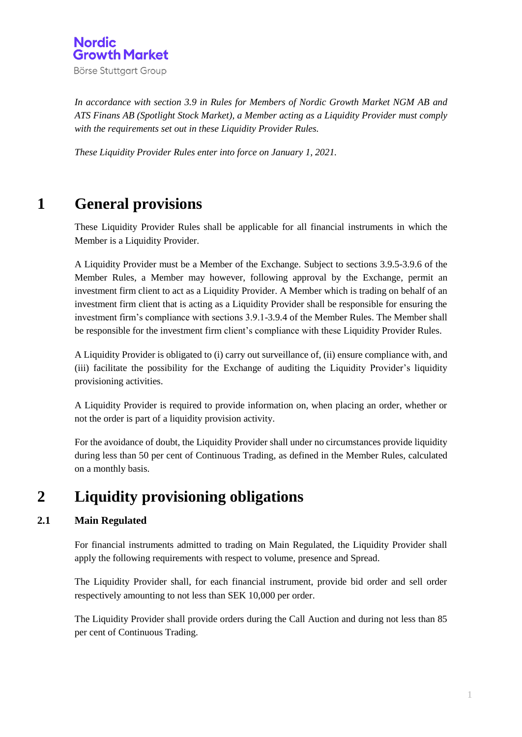

*In accordance with section 3.9 in Rules for Members of Nordic Growth Market NGM AB and ATS Finans AB (Spotlight Stock Market), a Member acting as a Liquidity Provider must comply with the requirements set out in these Liquidity Provider Rules.* 

*These Liquidity Provider Rules enter into force on January 1, 2021.*

## **1 General provisions**

These Liquidity Provider Rules shall be applicable for all financial instruments in which the Member is a Liquidity Provider.

A Liquidity Provider must be a Member of the Exchange. Subject to sections 3.9.5-3.9.6 of the Member Rules, a Member may however, following approval by the Exchange, permit an investment firm client to act as a Liquidity Provider. A Member which is trading on behalf of an investment firm client that is acting as a Liquidity Provider shall be responsible for ensuring the investment firm's compliance with sections 3.9.1-3.9.4 of the Member Rules. The Member shall be responsible for the investment firm client's compliance with these Liquidity Provider Rules.

A Liquidity Provider is obligated to (i) carry out surveillance of, (ii) ensure compliance with, and (iii) facilitate the possibility for the Exchange of auditing the Liquidity Provider's liquidity provisioning activities.

A Liquidity Provider is required to provide information on, when placing an order, whether or not the order is part of a liquidity provision activity.

For the avoidance of doubt, the Liquidity Provider shall under no circumstances provide liquidity during less than 50 per cent of Continuous Trading, as defined in the Member Rules, calculated on a monthly basis.

## **2 Liquidity provisioning obligations**

#### **2.1 Main Regulated**

For financial instruments admitted to trading on Main Regulated, the Liquidity Provider shall apply the following requirements with respect to volume, presence and Spread.

The Liquidity Provider shall, for each financial instrument, provide bid order and sell order respectively amounting to not less than SEK 10,000 per order.

The Liquidity Provider shall provide orders during the Call Auction and during not less than 85 per cent of Continuous Trading.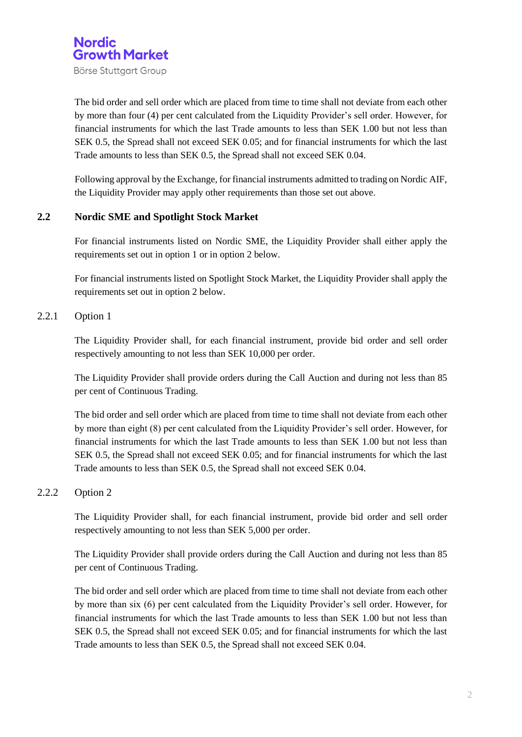

Börse Stuttgart Group

The bid order and sell order which are placed from time to time shall not deviate from each other by more than four (4) per cent calculated from the Liquidity Provider's sell order. However, for financial instruments for which the last Trade amounts to less than SEK 1.00 but not less than SEK 0.5, the Spread shall not exceed SEK 0.05; and for financial instruments for which the last Trade amounts to less than SEK 0.5, the Spread shall not exceed SEK 0.04.

Following approval by the Exchange, for financial instruments admitted to trading on Nordic AIF, the Liquidity Provider may apply other requirements than those set out above.

#### **2.2 Nordic SME and Spotlight Stock Market**

For financial instruments listed on Nordic SME, the Liquidity Provider shall either apply the requirements set out in option 1 or in option 2 below.

For financial instruments listed on Spotlight Stock Market, the Liquidity Provider shall apply the requirements set out in option 2 below.

#### 2.2.1 Option 1

The Liquidity Provider shall, for each financial instrument, provide bid order and sell order respectively amounting to not less than SEK 10,000 per order.

The Liquidity Provider shall provide orders during the Call Auction and during not less than 85 per cent of Continuous Trading.

The bid order and sell order which are placed from time to time shall not deviate from each other by more than eight (8) per cent calculated from the Liquidity Provider's sell order. However, for financial instruments for which the last Trade amounts to less than SEK 1.00 but not less than SEK 0.5, the Spread shall not exceed SEK 0.05; and for financial instruments for which the last Trade amounts to less than SEK 0.5, the Spread shall not exceed SEK 0.04.

#### 2.2.2 Option 2

The Liquidity Provider shall, for each financial instrument, provide bid order and sell order respectively amounting to not less than SEK 5,000 per order.

The Liquidity Provider shall provide orders during the Call Auction and during not less than 85 per cent of Continuous Trading.

The bid order and sell order which are placed from time to time shall not deviate from each other by more than six (6) per cent calculated from the Liquidity Provider's sell order. However, for financial instruments for which the last Trade amounts to less than SEK 1.00 but not less than SEK 0.5, the Spread shall not exceed SEK 0.05; and for financial instruments for which the last Trade amounts to less than SEK 0.5, the Spread shall not exceed SEK 0.04.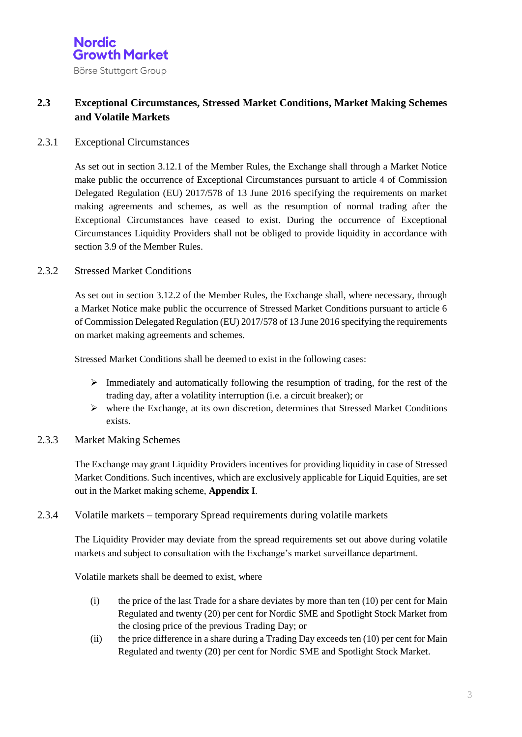#### **2.3 Exceptional Circumstances, Stressed Market Conditions, Market Making Schemes and Volatile Markets**

#### 2.3.1 Exceptional Circumstances

As set out in section 3.12.1 of the Member Rules, the Exchange shall through a Market Notice make public the occurrence of Exceptional Circumstances pursuant to article 4 of Commission Delegated Regulation (EU) 2017/578 of 13 June 2016 specifying the requirements on market making agreements and schemes, as well as the resumption of normal trading after the Exceptional Circumstances have ceased to exist. During the occurrence of Exceptional Circumstances Liquidity Providers shall not be obliged to provide liquidity in accordance with section 3.9 of the Member Rules.

#### 2.3.2 Stressed Market Conditions

As set out in section 3.12.2 of the Member Rules, the Exchange shall, where necessary, through a Market Notice make public the occurrence of Stressed Market Conditions pursuant to article 6 of Commission Delegated Regulation (EU) 2017/578 of 13 June 2016 specifying the requirements on market making agreements and schemes.

Stressed Market Conditions shall be deemed to exist in the following cases:

- $\triangleright$  Immediately and automatically following the resumption of trading, for the rest of the trading day, after a volatility interruption (i.e. a circuit breaker); or
- where the Exchange, at its own discretion, determines that Stressed Market Conditions exists.
- 2.3.3 Market Making Schemes

The Exchange may grant Liquidity Providers incentives for providing liquidity in case of Stressed Market Conditions. Such incentives, which are exclusively applicable for Liquid Equities, are set out in the Market making scheme, **Appendix I**.

#### 2.3.4 Volatile markets – temporary Spread requirements during volatile markets

The Liquidity Provider may deviate from the spread requirements set out above during volatile markets and subject to consultation with the Exchange's market surveillance department.

Volatile markets shall be deemed to exist, where

- (i) the price of the last Trade for a share deviates by more than ten (10) per cent for Main Regulated and twenty (20) per cent for Nordic SME and Spotlight Stock Market from the closing price of the previous Trading Day; or
- (ii) the price difference in a share during a Trading Day exceeds ten (10) per cent for Main Regulated and twenty (20) per cent for Nordic SME and Spotlight Stock Market.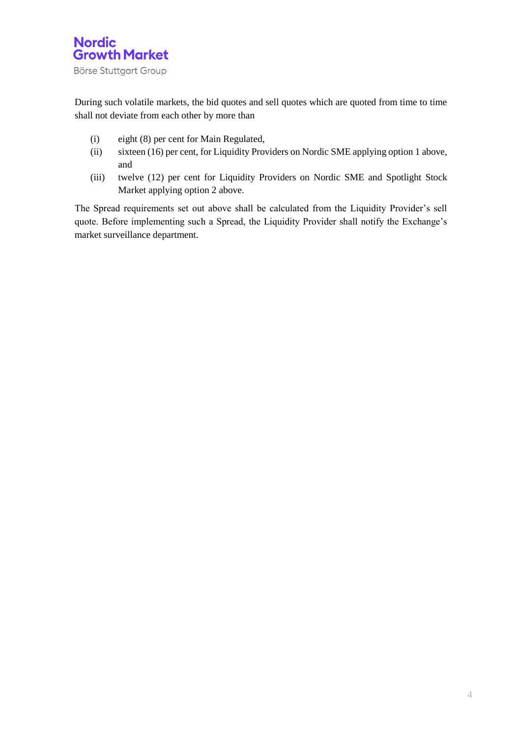

During such volatile markets, the bid quotes and sell quotes which are quoted from time to time shall not deviate from each other by more than

- (i) eight (8) per cent for Main Regulated,
- (ii) sixteen (16) per cent, for Liquidity Providers on Nordic SME applying option 1 above, and
- (iii) twelve (12) per cent for Liquidity Providers on Nordic SME and Spotlight Stock Market applying option 2 above.

The Spread requirements set out above shall be calculated from the Liquidity Provider's sell quote. Before implementing such a Spread, the Liquidity Provider shall notify the Exchange's market surveillance department.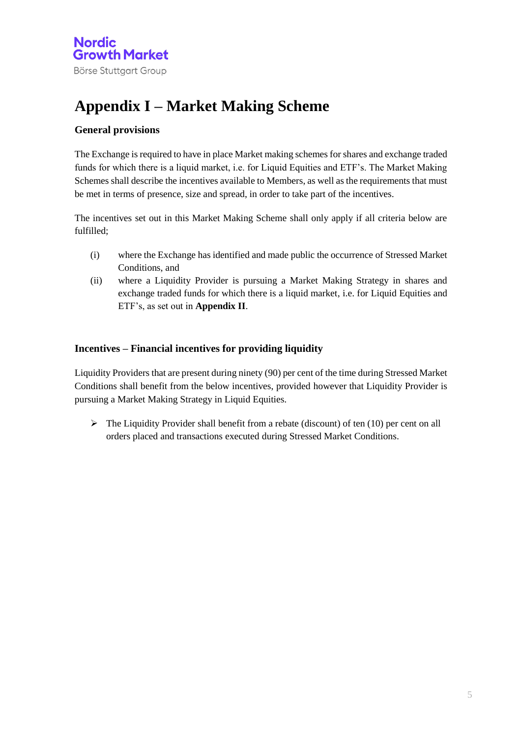## **Appendix I – Market Making Scheme**

#### **General provisions**

The Exchange is required to have in place Market making schemes for shares and exchange traded funds for which there is a liquid market, i.e. for Liquid Equities and ETF's. The Market Making Schemes shall describe the incentives available to Members, as well as the requirements that must be met in terms of presence, size and spread, in order to take part of the incentives.

The incentives set out in this Market Making Scheme shall only apply if all criteria below are fulfilled;

- (i) where the Exchange has identified and made public the occurrence of Stressed Market Conditions, and
- (ii) where a Liquidity Provider is pursuing a Market Making Strategy in shares and exchange traded funds for which there is a liquid market, i.e. for Liquid Equities and ETF's, as set out in **Appendix II**.

#### **Incentives – Financial incentives for providing liquidity**

Liquidity Providers that are present during ninety (90) per cent of the time during Stressed Market Conditions shall benefit from the below incentives, provided however that Liquidity Provider is pursuing a Market Making Strategy in Liquid Equities.

 $\triangleright$  The Liquidity Provider shall benefit from a rebate (discount) of ten (10) per cent on all orders placed and transactions executed during Stressed Market Conditions.